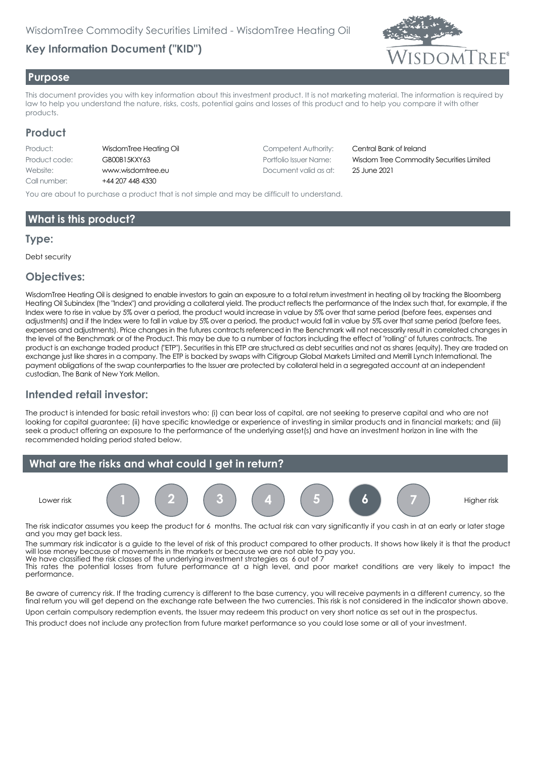# **Key Information Document ("KID")**



#### **Purpose**

This document provides you with key information about this investment product. It is not marketing material. The information is required by law to help you understand the nature, risks, costs, potential gains and losses of this product and to help you compare it with other products.

#### **Product**

| Product:      | Wis       |
|---------------|-----------|
| Product code: | GВ        |
| Website:      | <b>WW</b> |
| Call number:  | $+44$     |

4 207 448 4330

Production Competent Authority: Competent Authority: Central Bank of Ireland Website: www.wisdomtree.eu Document valid as at: 25 June 2021

Product code: GB00B15KXY63 Portfolio Issuer Name: Wisdom Tree Commodity Securities Limited

You are about to purchase a product that is not simple and may be difficult to understand.

## **What is this product?**

#### **Type:**

Debt security

#### **Objectives:**

WisdomTree Heating Oil is designed to enable investors to gain an exposure to a total return investment in heating oil by tracking the Bloomberg Heating Oil Subindex (the "Index") and providing a collateral yield. The product reflects the performance of the Index such that, for example, if the Index were to rise in value by 5% over a period, the product would increase in value by 5% over that same period (before fees, expenses and adjustments) and if the Index were to fall in value by 5% over a period, the product would fall in value by 5% over that same period (before fees, expenses and adjustments). Price changes in the futures contracts referenced in the Benchmark will not necessarily result in correlated changes in the level of the Benchmark or of the Product. This may be due to a number of factors including the effect of "rolling" of futures contracts. The product is an exchange traded product ("ETP"). Securities in this ETP are structured as debt securities and not as shares (equity). They are traded on exchange just like shares in a company. The ETP is backed by swaps with Citigroup Global Markets Limited and Merrill Lynch International. The payment obligations of the swap counterparties to the Issuer are protected by collateral held in a segregated account at an independent custodian, The Bank of New York Mellon.

## **Intended retail investor:**

The product is intended for basic retail investors who: (i) can bear loss of capital, are not seeking to preserve capital and who are not looking for capital guarantee; (ii) have specific knowledge or experience of investing in similar products and in financial markets; and (iii) seek a product offering an exposure to the performance of the underlying asset(s) and have an investment horizon in line with the recommended holding period stated below.



The risk indicator assumes you keep the product for 6 months. The actual risk can vary significantly if you cash in at an early or later stage and you may get back less.

The summary risk indicator is a guide to the level of risk of this product compared to other products. It shows how likely it is that the product will lose money because of movements in the markets or because we are not able to pay you. We have classified the risk classes of the underlying investment strategies as 6 out of 7

This rates the potential losses from future performance at a high level, and poor market conditions are very likely to impact the performance.

Be aware of currency risk. If the trading currency is different to the base currency, you will receive payments in a different currency, so the final return you will get depend on the exchange rate between the two currencies. This risk is not considered in the indicator shown above.

Upon certain compulsory redemption events, the Issuer may redeem this product on very short notice as set out in the prospectus. This product does not include any protection from future market performance so you could lose some or all of your investment.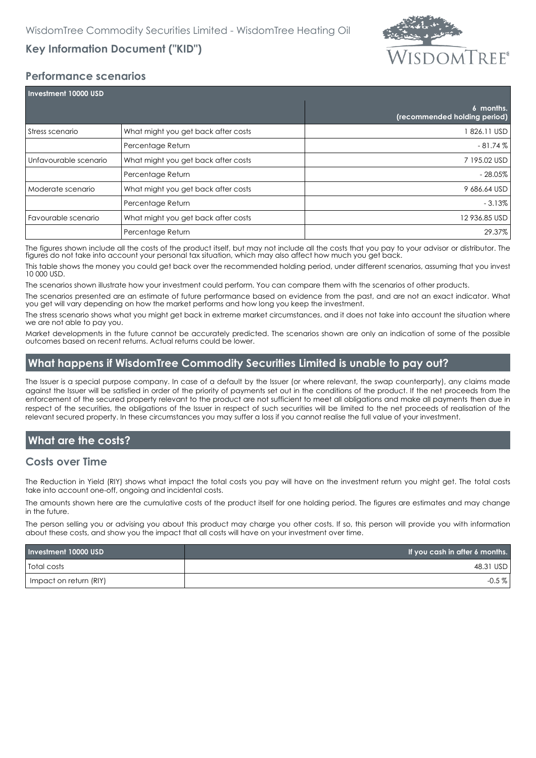

# **Key Information Document ("KID")**

#### **Performance scenarios**

| Investment 10000 USD  |                                     |                                           |  |
|-----------------------|-------------------------------------|-------------------------------------------|--|
|                       |                                     | 6 months.<br>(recommended holding period) |  |
| Stress scenario       | What might you get back after costs | 826.11 USD                                |  |
|                       | Percentage Return                   | $-81.74%$                                 |  |
| Unfavourable scenario | What might you get back after costs | 7 195.02 USD                              |  |
|                       | Percentage Return                   | - 28.05%                                  |  |
| Moderate scenario     | What might you get back after costs | 9 686.64 USD                              |  |
|                       | Percentage Return                   | $-3.13%$                                  |  |
| Favourable scenario   | What might you get back after costs | 12 936.85 USD                             |  |
|                       | Percentage Return                   | 29.37%                                    |  |

The figures shown include all the costs of the product itself, but may not include all the costs that you pay to your advisor or distributor. The figures do not take into account your personal tax situation, which may also affect how much you get back.

This table shows the money you could get back over the recommended holding period, under different scenarios, assuming that you invest 10 000 USD.

The scenarios shown illustrate how your investment could perform. You can compare them with the scenarios of other products.

The scenarios presented are an estimate of future performance based on evidence from the past, and are not an exact indicator. What you get will vary depending on how the market performs and how long you keep the investment.

The stress scenario shows what you might get back in extreme market circumstances, and it does not take into account the situation where we are not able to pay you.

Market developments in the future cannot be accurately predicted. The scenarios shown are only an indication of some of the possible outcomes based on recent returns. Actual returns could be lower.

## **What happens if WisdomTree Commodity Securities Limited is unable to pay out?**

The Issuer is a special purpose company. In case of a default by the Issuer (or where relevant, the swap counterparty), any claims made against the Issuer will be satisfied in order of the priority of payments set out in the conditions of the product. If the net proceeds from the enforcement of the secured property relevant to the product are not sufficient to meet all obligations and make all payments then due in respect of the securities, the obligations of the Issuer in respect of such securities will be limited to the net proceeds of realisation of the relevant secured property. In these circumstances you may suffer a loss if you cannot realise the full value of your investment.

## **What are the costs?**

#### **Costs over Time**

The Reduction in Yield (RIY) shows what impact the total costs you pay will have on the investment return you might get. The total costs take into account one-off, ongoing and incidental costs.

The amounts shown here are the cumulative costs of the product itself for one holding period. The figures are estimates and may change in the future.

The person selling you or advising you about this product may charge you other costs. If so, this person will provide you with information about these costs, and show you the impact that all costs will have on your investment over time.

| Investment 10000 USD   | If you cash in after 6 months. |
|------------------------|--------------------------------|
| <b>Total costs</b>     | 48.31 USD                      |
| Impact on return (RIY) | $-0.5\%$                       |